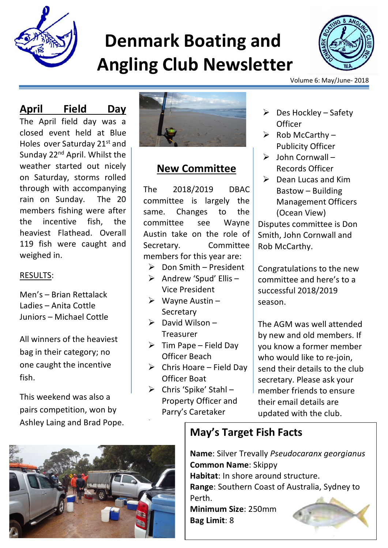

# **Denmark Boating and Angling Club Newsletter**



Volume 6: May/June- 2018

#### **April Field Day**

The April field day was a closed event held at Blue Holes over Saturday 21<sup>st</sup> and Sunday 22<sup>nd</sup> April. Whilst the weather started out nicely on Saturday, storms rolled through with accompanying rain on Sunday. The 20 members fishing were after the incentive fish, the heaviest Flathead. Overall 119 fish were caught and weighed in.

#### RESULTS:

Men's – Brian Rettalack Ladies – Anita Cottle Juniors – Michael Cottle

All winners of the heaviest bag in their category; no one caught the incentive fish.

This weekend was also a pairs competition, won by Ashley Laing and Brad Pope.



#### **New Committee**

The 2018/2019 DBAC committee is largely the same. Changes to the committee see Wayne Austin take on the role of Secretary. Committee members for this year are:

- $\triangleright$  Don Smith President
- $\triangleright$  Andrew 'Spud' Ellis Vice President
- $\triangleright$  Wayne Austin **Secretary**
- $\triangleright$  David Wilson Treasurer
- $\triangleright$  Tim Pape Field Day Officer Beach
- $\triangleright$  Chris Hoare Field Day Officer Boat
- $\triangleright$  Chris 'Spike' Stahl -Property Officer and Parry's Caretaker

Ø

- $\triangleright$  Des Hockley Safety **Officer**
- $\triangleright$  Rob McCarthy Publicity Officer
- $\triangleright$  John Cornwall Records Officer
- $\triangleright$  Dean Lucas and Kim Bastow – Building Management Officers (Ocean View)

Disputes committee is Don Smith, John Cornwall and Rob McCarthy.

Congratulations to the new committee and here's to a successful 2018/2019 season.

The AGM was well attended by new and old members. If you know a former member who would like to re-join, send their details to the club secretary. Please ask your member friends to ensure their email details are updated with the club.

## **May's Target Fish Facts**

**Name**: Silver Trevally *Pseudocaranx georgianus* **Common Name**: Skippy **Habitat**: In shore around structure. **Range**: Southern Coast of Australia, Sydney to Perth. **Minimum Size**: 250mm **Bag Limit**: 8